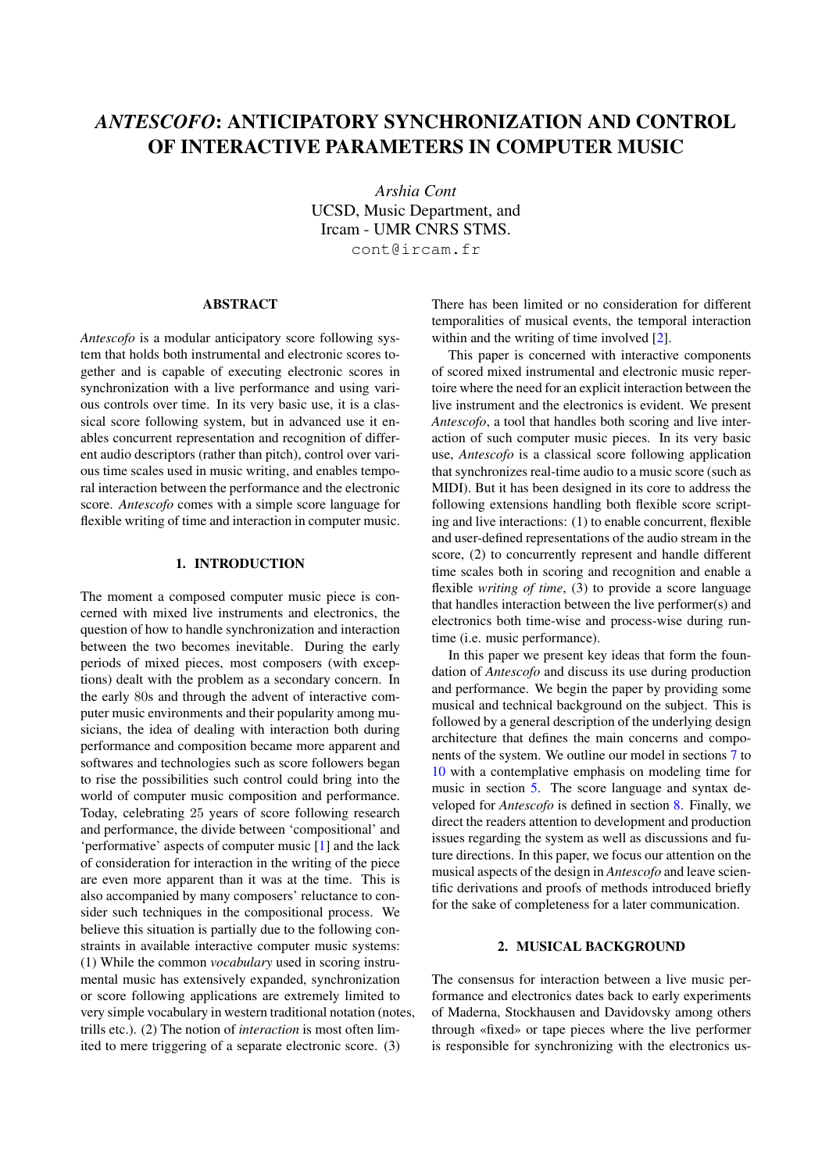# *ANTESCOFO*: ANTICIPATORY SYNCHRONIZATION AND CONTROL OF INTERACTIVE PARAMETERS IN COMPUTER MUSIC

*Arshia Cont* UCSD, Music Department, and Ircam - UMR CNRS STMS. cont@ircam.fr

## ABSTRACT

*Antescofo* is a modular anticipatory score following system that holds both instrumental and electronic scores together and is capable of executing electronic scores in synchronization with a live performance and using various controls over time. In its very basic use, it is a classical score following system, but in advanced use it enables concurrent representation and recognition of different audio descriptors (rather than pitch), control over various time scales used in music writing, and enables temporal interaction between the performance and the electronic score. *Antescofo* comes with a simple score language for flexible writing of time and interaction in computer music.

# 1. INTRODUCTION

The moment a composed computer music piece is concerned with mixed live instruments and electronics, the question of how to handle synchronization and interaction between the two becomes inevitable. During the early periods of mixed pieces, most composers (with exceptions) dealt with the problem as a secondary concern. In the early 80s and through the advent of interactive computer music environments and their popularity among musicians, the idea of dealing with interaction both during performance and composition became more apparent and softwares and technologies such as score followers began to rise the possibilities such control could bring into the world of computer music composition and performance. Today, celebrating 25 years of score following research and performance, the divide between 'compositional' and 'performative' aspects of computer music [\[1\]](#page-7-0) and the lack of consideration for interaction in the writing of the piece are even more apparent than it was at the time. This is also accompanied by many composers' reluctance to consider such techniques in the compositional process. We believe this situation is partially due to the following constraints in available interactive computer music systems: (1) While the common *vocabulary* used in scoring instrumental music has extensively expanded, synchronization or score following applications are extremely limited to very simple vocabulary in western traditional notation (notes, trills etc.). (2) The notion of *interaction* is most often limited to mere triggering of a separate electronic score. (3)

There has been limited or no consideration for different temporalities of musical events, the temporal interaction within and the writing of time involved [\[2\]](#page-7-1).

This paper is concerned with interactive components of scored mixed instrumental and electronic music repertoire where the need for an explicit interaction between the live instrument and the electronics is evident. We present *Antescofo*, a tool that handles both scoring and live interaction of such computer music pieces. In its very basic use, *Antescofo* is a classical score following application that synchronizes real-time audio to a music score (such as MIDI). But it has been designed in its core to address the following extensions handling both flexible score scripting and live interactions: (1) to enable concurrent, flexible and user-defined representations of the audio stream in the score, (2) to concurrently represent and handle different time scales both in scoring and recognition and enable a flexible *writing of time*, (3) to provide a score language that handles interaction between the live performer(s) and electronics both time-wise and process-wise during runtime (i.e. music performance).

In this paper we present key ideas that form the foundation of *Antescofo* and discuss its use during production and performance. We begin the paper by providing some musical and technical background on the subject. This is followed by a general description of the underlying design architecture that defines the main concerns and components of the system. We outline our model in sections [7](#page-3-0) to [10](#page-6-0) with a contemplative emphasis on modeling time for music in section [5.](#page-2-0) The score language and syntax developed for *Antescofo* is defined in section [8.](#page-4-0) Finally, we direct the readers attention to development and production issues regarding the system as well as discussions and future directions. In this paper, we focus our attention on the musical aspects of the design in *Antescofo* and leave scientific derivations and proofs of methods introduced briefly for the sake of completeness for a later communication.

## 2. MUSICAL BACKGROUND

The consensus for interaction between a live music performance and electronics dates back to early experiments of Maderna, Stockhausen and Davidovsky among others through «fixed» or tape pieces where the live performer is responsible for synchronizing with the electronics us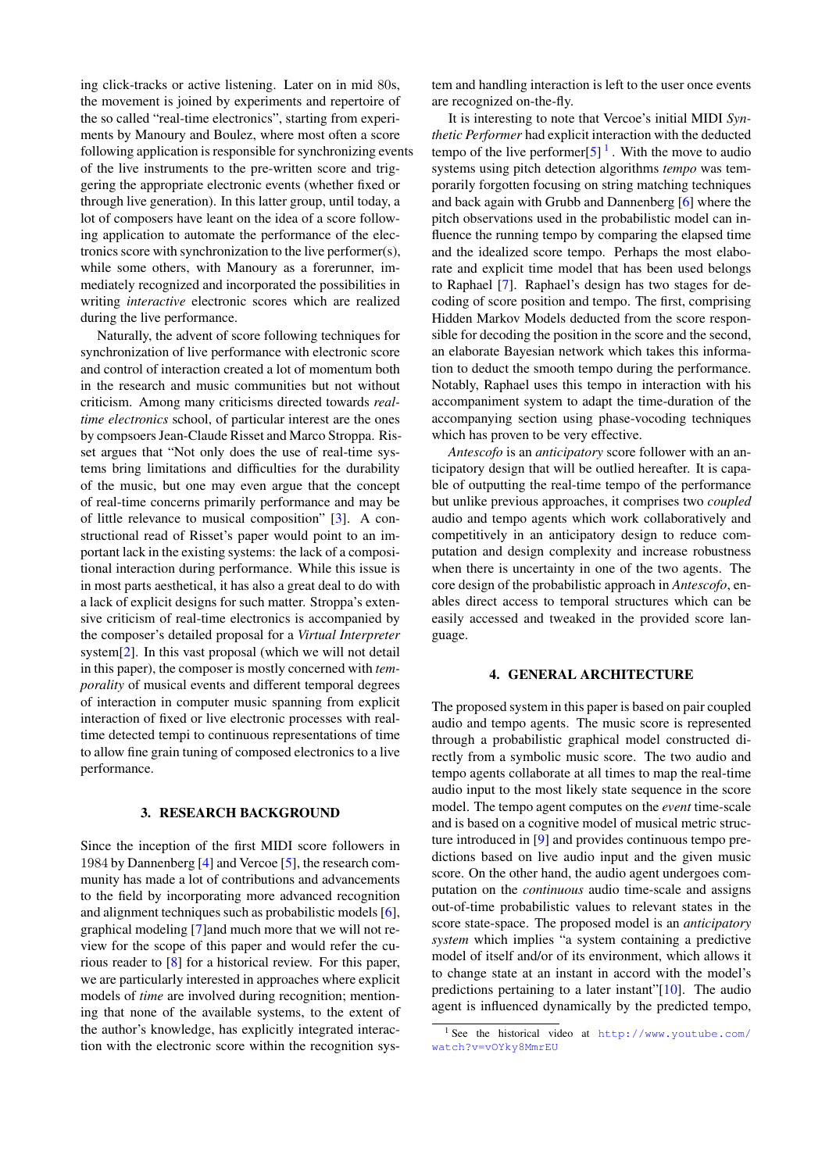ing click-tracks or active listening. Later on in mid 80s, the movement is joined by experiments and repertoire of the so called "real-time electronics", starting from experiments by Manoury and Boulez, where most often a score following application is responsible for synchronizing events of the live instruments to the pre-written score and triggering the appropriate electronic events (whether fixed or through live generation). In this latter group, until today, a lot of composers have leant on the idea of a score following application to automate the performance of the electronics score with synchronization to the live performer(s), while some others, with Manoury as a forerunner, immediately recognized and incorporated the possibilities in writing *interactive* electronic scores which are realized during the live performance.

Naturally, the advent of score following techniques for synchronization of live performance with electronic score and control of interaction created a lot of momentum both in the research and music communities but not without criticism. Among many criticisms directed towards *realtime electronics* school, of particular interest are the ones by compsoers Jean-Claude Risset and Marco Stroppa. Risset argues that "Not only does the use of real-time systems bring limitations and difficulties for the durability of the music, but one may even argue that the concept of real-time concerns primarily performance and may be of little relevance to musical composition" [\[3\]](#page-7-2). A constructional read of Risset's paper would point to an important lack in the existing systems: the lack of a compositional interaction during performance. While this issue is in most parts aesthetical, it has also a great deal to do with a lack of explicit designs for such matter. Stroppa's extensive criticism of real-time electronics is accompanied by the composer's detailed proposal for a *Virtual Interpreter* system[\[2\]](#page-7-1). In this vast proposal (which we will not detail in this paper), the composer is mostly concerned with *temporality* of musical events and different temporal degrees of interaction in computer music spanning from explicit interaction of fixed or live electronic processes with realtime detected tempi to continuous representations of time to allow fine grain tuning of composed electronics to a live performance.

## 3. RESEARCH BACKGROUND

Since the inception of the first MIDI score followers in 1984 by Dannenberg [\[4\]](#page-7-3) and Vercoe [\[5\]](#page-7-4), the research community has made a lot of contributions and advancements to the field by incorporating more advanced recognition and alignment techniques such as probabilistic models [\[6\]](#page-7-5), graphical modeling [\[7\]](#page-7-6)and much more that we will not review for the scope of this paper and would refer the curious reader to [\[8\]](#page-7-7) for a historical review. For this paper, we are particularly interested in approaches where explicit models of *time* are involved during recognition; mentioning that none of the available systems, to the extent of the author's knowledge, has explicitly integrated interaction with the electronic score within the recognition system and handling interaction is left to the user once events are recognized on-the-fly.

It is interesting to note that Vercoe's initial MIDI *Synthetic Performer* had explicit interaction with the deducted tempo of the live performer $[5]$ <sup>[1](#page-1-0)</sup>. With the move to audio systems using pitch detection algorithms *tempo* was temporarily forgotten focusing on string matching techniques and back again with Grubb and Dannenberg [\[6\]](#page-7-5) where the pitch observations used in the probabilistic model can influence the running tempo by comparing the elapsed time and the idealized score tempo. Perhaps the most elaborate and explicit time model that has been used belongs to Raphael [\[7\]](#page-7-6). Raphael's design has two stages for decoding of score position and tempo. The first, comprising Hidden Markov Models deducted from the score responsible for decoding the position in the score and the second, an elaborate Bayesian network which takes this information to deduct the smooth tempo during the performance. Notably, Raphael uses this tempo in interaction with his accompaniment system to adapt the time-duration of the accompanying section using phase-vocoding techniques which has proven to be very effective.

*Antescofo* is an *anticipatory* score follower with an anticipatory design that will be outlied hereafter. It is capable of outputting the real-time tempo of the performance but unlike previous approaches, it comprises two *coupled* audio and tempo agents which work collaboratively and competitively in an anticipatory design to reduce computation and design complexity and increase robustness when there is uncertainty in one of the two agents. The core design of the probabilistic approach in *Antescofo*, enables direct access to temporal structures which can be easily accessed and tweaked in the provided score language.

#### 4. GENERAL ARCHITECTURE

The proposed system in this paper is based on pair coupled audio and tempo agents. The music score is represented through a probabilistic graphical model constructed directly from a symbolic music score. The two audio and tempo agents collaborate at all times to map the real-time audio input to the most likely state sequence in the score model. The tempo agent computes on the *event* time-scale and is based on a cognitive model of musical metric structure introduced in [\[9\]](#page-7-8) and provides continuous tempo predictions based on live audio input and the given music score. On the other hand, the audio agent undergoes computation on the *continuous* audio time-scale and assigns out-of-time probabilistic values to relevant states in the score state-space. The proposed model is an *anticipatory system* which implies "a system containing a predictive model of itself and/or of its environment, which allows it to change state at an instant in accord with the model's predictions pertaining to a later instant" $[10]$ . The audio agent is influenced dynamically by the predicted tempo,

<span id="page-1-0"></span><sup>1</sup> See the historical video at [http://www.youtube.com/](http://www.youtube.com/watch?v=vOYky8MmrEU) [watch?v=vOYky8MmrEU](http://www.youtube.com/watch?v=vOYky8MmrEU)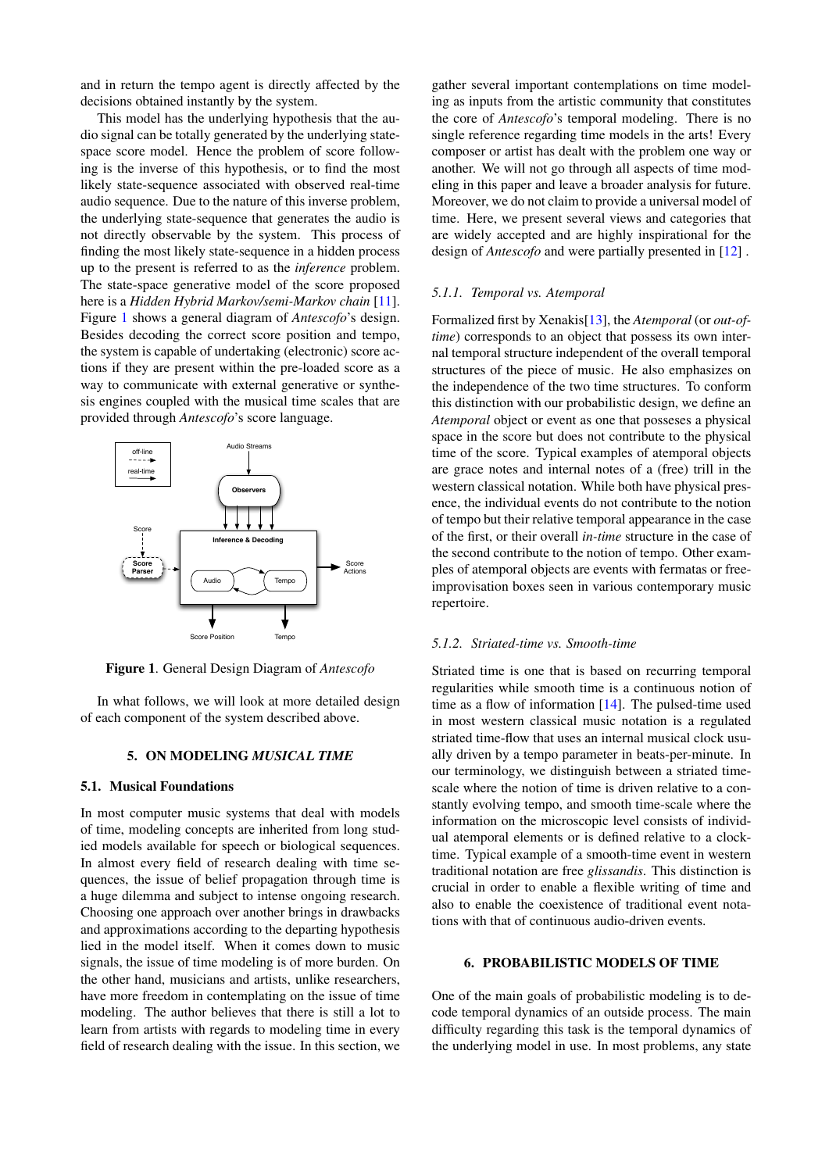and in return the tempo agent is directly affected by the decisions obtained instantly by the system.

This model has the underlying hypothesis that the audio signal can be totally generated by the underlying statespace score model. Hence the problem of score following is the inverse of this hypothesis, or to find the most likely state-sequence associated with observed real-time audio sequence. Due to the nature of this inverse problem, the underlying state-sequence that generates the audio is not directly observable by the system. This process of finding the most likely state-sequence in a hidden process up to the present is referred to as the *inference* problem. The state-space generative model of the score proposed here is a *Hidden Hybrid Markov/semi-Markov chain* [\[11\]](#page-7-10). Figure [1](#page-2-1) shows a general diagram of *Antescofo*'s design. Besides decoding the correct score position and tempo, the system is capable of undertaking (electronic) score actions if they are present within the pre-loaded score as a way to communicate with external generative or synthesis engines coupled with the musical time scales that are provided through *Antescofo*'s score language.



<span id="page-2-1"></span>Figure 1. General Design Diagram of *Antescofo*

In what follows, we will look at more detailed design of each component of the system described above.

## 5. ON MODELING *MUSICAL TIME*

# <span id="page-2-0"></span>5.1. Musical Foundations

In most computer music systems that deal with models of time, modeling concepts are inherited from long studied models available for speech or biological sequences. In almost every field of research dealing with time sequences, the issue of belief propagation through time is a huge dilemma and subject to intense ongoing research. Choosing one approach over another brings in drawbacks and approximations according to the departing hypothesis lied in the model itself. When it comes down to music signals, the issue of time modeling is of more burden. On the other hand, musicians and artists, unlike researchers, have more freedom in contemplating on the issue of time modeling. The author believes that there is still a lot to learn from artists with regards to modeling time in every field of research dealing with the issue. In this section, we gather several important contemplations on time modeling as inputs from the artistic community that constitutes the core of *Antescofo*'s temporal modeling. There is no single reference regarding time models in the arts! Every composer or artist has dealt with the problem one way or another. We will not go through all aspects of time modeling in this paper and leave a broader analysis for future. Moreover, we do not claim to provide a universal model of time. Here, we present several views and categories that are widely accepted and are highly inspirational for the design of *Antescofo* and were partially presented in [\[12\]](#page-7-11) .

## <span id="page-2-2"></span>*5.1.1. Temporal vs. Atemporal*

Formalized first by Xenakis[\[13\]](#page-7-12), the *Atemporal* (or *out-oftime*) corresponds to an object that possess its own internal temporal structure independent of the overall temporal structures of the piece of music. He also emphasizes on the independence of the two time structures. To conform this distinction with our probabilistic design, we define an *Atemporal* object or event as one that posseses a physical space in the score but does not contribute to the physical time of the score. Typical examples of atemporal objects are grace notes and internal notes of a (free) trill in the western classical notation. While both have physical presence, the individual events do not contribute to the notion of tempo but their relative temporal appearance in the case of the first, or their overall *in-time* structure in the case of the second contribute to the notion of tempo. Other examples of atemporal objects are events with fermatas or freeimprovisation boxes seen in various contemporary music repertoire.

#### *5.1.2. Striated-time vs. Smooth-time*

Striated time is one that is based on recurring temporal regularities while smooth time is a continuous notion of time as a flow of information [\[14\]](#page-7-13). The pulsed-time used in most western classical music notation is a regulated striated time-flow that uses an internal musical clock usually driven by a tempo parameter in beats-per-minute. In our terminology, we distinguish between a striated timescale where the notion of time is driven relative to a constantly evolving tempo, and smooth time-scale where the information on the microscopic level consists of individual atemporal elements or is defined relative to a clocktime. Typical example of a smooth-time event in western traditional notation are free *glissandis*. This distinction is crucial in order to enable a flexible writing of time and also to enable the coexistence of traditional event notations with that of continuous audio-driven events.

#### <span id="page-2-3"></span>6. PROBABILISTIC MODELS OF TIME

One of the main goals of probabilistic modeling is to decode temporal dynamics of an outside process. The main difficulty regarding this task is the temporal dynamics of the underlying model in use. In most problems, any state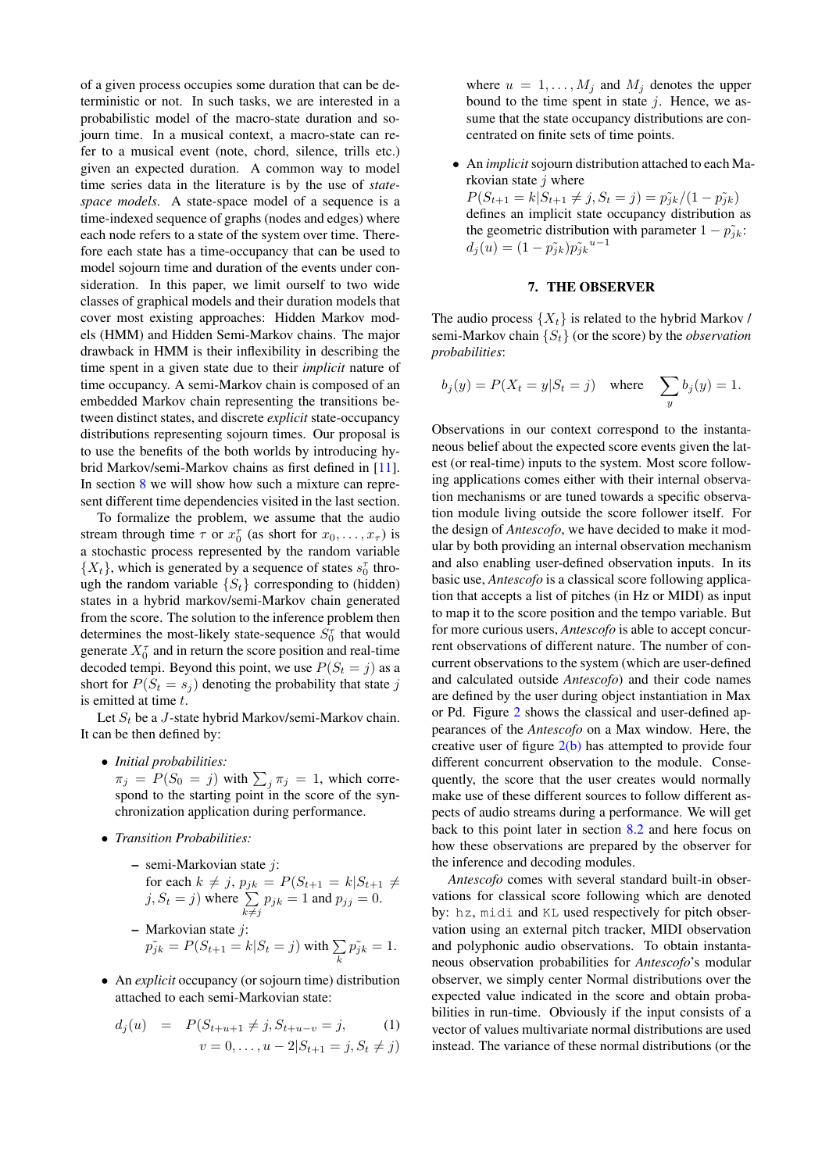of a given process occupies some duration that can be deterministic or not. In such tasks, we are interested in a probabilistic model of the macro-state duration and sojourn time. In a musical context, a macro-state can refer to a musical event (note, chord, silence, trills etc.) given an expected duration. A common way to model time series data in the literature is by the use of *statespace models*. A state-space model of a sequence is a time-indexed sequence of graphs (nodes and edges) where each node refers to a state of the system over time. Therefore each state has a time-occupancy that can be used to model sojourn time and duration of the events under consideration. In this paper, we limit ourself to two wide classes of graphical models and their duration models that cover most existing approaches: Hidden Markov models (HMM) and Hidden Semi-Markov chains. The major drawback in HMM is their inflexibility in describing the time spent in a given state due to their *implicit* nature of time occupancy. A semi-Markov chain is composed of an embedded Markov chain representing the transitions between distinct states, and discrete *explicit* state-occupancy distributions representing sojourn times. Our proposal is to use the benefits of the both worlds by introducing hybrid Markov/semi-Markov chains as first defined in [\[11\]](#page-7-10). In section [8](#page-4-0) we will show how such a mixture can represent different time dependencies visited in the last section.

To formalize the problem, we assume that the audio stream through time  $\tau$  or  $x_0^{\tau}$  (as short for  $x_0, \ldots, x_{\tau}$ ) is a stochastic process represented by the random variable  $\{X_t\}$ , which is generated by a sequence of states  $s_0^{\tau}$  through the random variable  $\{S_t\}$  corresponding to (hidden) states in a hybrid markov/semi-Markov chain generated from the score. The solution to the inference problem then determines the most-likely state-sequence  $S_0^{\tau}$  that would generate  $X_0^{\tau}$  and in return the score position and real-time decoded tempi. Beyond this point, we use  $P(S_t = j)$  as a short for  $P(S_t = s_j)$  denoting the probability that state j is emitted at time t.

Let  $S_t$  be a J-state hybrid Markov/semi-Markov chain. It can be then defined by:

• *Initial probabilities:*

 $\pi_j = P(S_0 = j)$  with  $\sum_j \pi_j = 1$ , which correspond to the starting point in the score of the synchronization application during performance.

• *Transition Probabilities:*

\n- semi-Markovian state 
$$
j
$$
:
\n- for each  $k \neq j$ ,  $p_{jk} = P(S_{t+1} = k | S_{t+1} \neq j, S_t = j)$  where  $\sum_{k \neq j} p_{jk} = 1$  and  $p_{jj} = 0$ .
\n- Markovian state  $j$ :
\n- $p_{jk}^{\sim} = P(S_{t+1} = k | S_t = j)$  with  $\sum_k p_{jk}^{\sim} = 1$ .
\n

• An *explicit* occupancy (or sojourn time) distribution attached to each semi-Markovian state:

$$
d_j(u) = P(S_{t+u+1} \neq j, S_{t+u-v} = j, \qquad (1)
$$

$$
v = 0, \dots, u - 2|S_{t+1} = j, S_t \neq j)
$$

where  $u = 1, \ldots, M_i$  and  $M_i$  denotes the upper bound to the time spent in state  $i$ . Hence, we assume that the state occupancy distributions are concentrated on finite sets of time points.

• An *implicit* sojourn distribution attached to each Markovian state  $j$  where

 $P(S_{t+1} = k | S_{t+1} \neq j, S_t = j) = \tilde{p_{jk}}/(1 - \tilde{p_{jk}})$ defines an implicit state occupancy distribution as the geometric distribution with parameter  $1 - \tilde{p}_{ik}$ :  $d_j(u) = (1 - \tilde{p}_{jk}) \tilde{p}_{jk}^{u-1}$ 

## 7. THE OBSERVER

<span id="page-3-0"></span>The audio process  $\{X_t\}$  is related to the hybrid Markov / semi-Markov chain {St} (or the score) by the *observation probabilities*:

<span id="page-3-1"></span>
$$
b_j(y) = P(X_t = y | S_t = j) \quad \text{where} \quad \sum_y b_j(y) = 1.
$$

Observations in our context correspond to the instantaneous belief about the expected score events given the latest (or real-time) inputs to the system. Most score following applications comes either with their internal observation mechanisms or are tuned towards a specific observation module living outside the score follower itself. For the design of *Antescofo*, we have decided to make it modular by both providing an internal observation mechanism and also enabling user-defined observation inputs. In its basic use, *Antescofo* is a classical score following application that accepts a list of pitches (in Hz or MIDI) as input to map it to the score position and the tempo variable. But for more curious users, *Antescofo* is able to accept concurrent observations of different nature. The number of concurrent observations to the system (which are user-defined and calculated outside *Antescofo*) and their code names are defined by the user during object instantiation in Max or Pd. Figure [2](#page-4-1) shows the classical and user-defined appearances of the *Antescofo* on a Max window. Here, the creative user of figure  $2(b)$  has attempted to provide four different concurrent observation to the module. Consequently, the score that the user creates would normally make use of these different sources to follow different aspects of audio streams during a performance. We will get back to this point later in section [8.2](#page-5-0) and here focus on how these observations are prepared by the observer for the inference and decoding modules.

*Antescofo* comes with several standard built-in observations for classical score following which are denoted by: hz, midi and KL used respectively for pitch observation using an external pitch tracker, MIDI observation and polyphonic audio observations. To obtain instantaneous observation probabilities for *Antescofo*'s modular observer, we simply center Normal distributions over the expected value indicated in the score and obtain probabilities in run-time. Obviously if the input consists of a vector of values multivariate normal distributions are used instead. The variance of these normal distributions (or the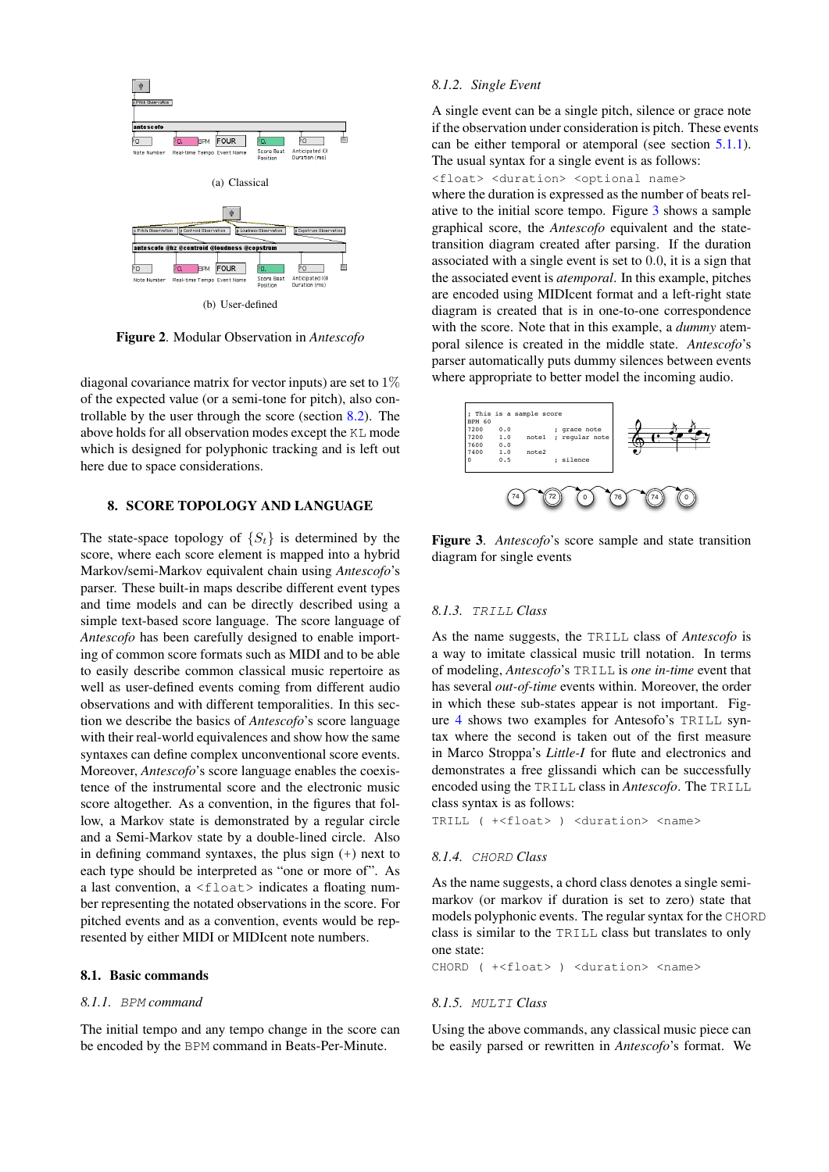<span id="page-4-2"></span>

<span id="page-4-1"></span>Figure 2. Modular Observation in *Antescofo*

diagonal covariance matrix for vector inputs) are set to 1% of the expected value (or a semi-tone for pitch), also controllable by the user through the score (section [8.2\)](#page-5-0). The above holds for all observation modes except the KL mode which is designed for polyphonic tracking and is left out here due to space considerations.

# <span id="page-4-0"></span>8. SCORE TOPOLOGY AND LANGUAGE

The state-space topology of  $\{S_t\}$  is determined by the score, where each score element is mapped into a hybrid Markov/semi-Markov equivalent chain using *Antescofo*'s parser. These built-in maps describe different event types and time models and can be directly described using a simple text-based score language. The score language of *Antescofo* has been carefully designed to enable importing of common score formats such as MIDI and to be able to easily describe common classical music repertoire as well as user-defined events coming from different audio observations and with different temporalities. In this section we describe the basics of *Antescofo*'s score language with their real-world equivalences and show how the same syntaxes can define complex unconventional score events. Moreover, *Antescofo*'s score language enables the coexistence of the instrumental score and the electronic music score altogether. As a convention, in the figures that follow, a Markov state is demonstrated by a regular circle and a Semi-Markov state by a double-lined circle. Also in defining command syntaxes, the plus sign (+) next to each type should be interpreted as "one or more of". As a last convention,  $a \leq f$ loat> indicates a floating number representing the notated observations in the score. For pitched events and as a convention, events would be represented by either MIDI or MIDIcent note numbers.

#### 8.1. Basic commands

## *8.1.1.* BPM *command*

The initial tempo and any tempo change in the score can be encoded by the BPM command in Beats-Per-Minute.

## *8.1.2. Single Event*

A single event can be a single pitch, silence or grace note if the observation under consideration is pitch. These events can be either temporal or atemporal (see section [5.1.1\)](#page-2-2). The usual syntax for a single event is as follows:

<float> <duration> <optional name>

where the duration is expressed as the number of beats relative to the initial score tempo. Figure [3](#page-4-3) shows a sample graphical score, the *Antescofo* equivalent and the statetransition diagram created after parsing. If the duration associated with a single event is set to 0.0, it is a sign that the associated event is *atemporal*. In this example, pitches are encoded using MIDIcent format and a left-right state diagram is created that is in one-to-one correspondence with the score. Note that in this example, a *dummy* atemporal silence is created in the middle state. *Antescofo*'s parser automatically puts dummy silences between events where appropriate to better model the incoming audio.



<span id="page-4-3"></span>Figure 3. *Antescofo*'s score sample and state transition diagram for single events

## *8.1.3.* TRILL *Class*

As the name suggests, the TRILL class of *Antescofo* is a way to imitate classical music trill notation. In terms of modeling, *Antescofo*'s TRILL is *one in-time* event that has several *out-of-time* events within. Moreover, the order in which these sub-states appear is not important. Figure [4](#page-5-1) shows two examples for Antesofo's TRILL syntax where the second is taken out of the first measure in Marco Stroppa's *Little-I* for flute and electronics and demonstrates a free glissandi which can be successfully encoded using the TRILL class in *Antescofo*. The TRILL class syntax is as follows:

TRILL ( +<float> ) <duration> <name>

#### *8.1.4.* CHORD *Class*

As the name suggests, a chord class denotes a single semimarkov (or markov if duration is set to zero) state that models polyphonic events. The regular syntax for the CHORD class is similar to the TRILL class but translates to only one state:

CHORD ( +<float> ) <duration> <name>

#### *8.1.5.* MULTI *Class*

Using the above commands, any classical music piece can be easily parsed or rewritten in *Antescofo*'s format. We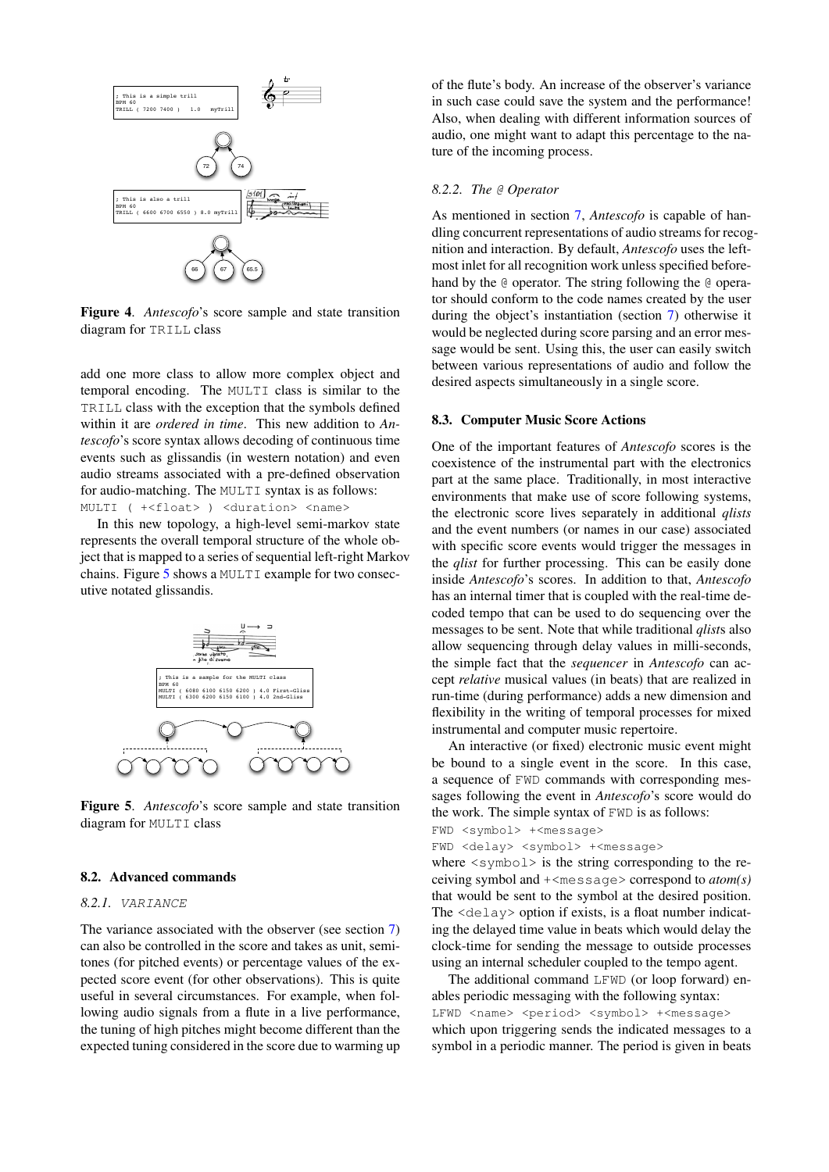

<span id="page-5-1"></span>Figure 4. *Antescofo*'s score sample and state transition diagram for TRILL class

add one more class to allow more complex object and temporal encoding. The MULTI class is similar to the TRILL class with the exception that the symbols defined within it are *ordered in time*. This new addition to *Antescofo*'s score syntax allows decoding of continuous time events such as glissandis (in western notation) and even audio streams associated with a pre-defined observation for audio-matching. The MULTI syntax is as follows: MULTI ( +<float> ) <duration> <name>

In this new topology, a high-level semi-markov state represents the overall temporal structure of the whole object that is mapped to a series of sequential left-right Markov chains. Figure [5](#page-5-2) shows a MULTI example for two consecutive notated glissandis.



<span id="page-5-2"></span>Figure 5. *Antescofo*'s score sample and state transition diagram for MULTI class

#### <span id="page-5-0"></span>8.2. Advanced commands

#### *8.2.1.* VARIANCE

The variance associated with the observer (see section [7\)](#page-3-0) can also be controlled in the score and takes as unit, semitones (for pitched events) or percentage values of the expected score event (for other observations). This is quite useful in several circumstances. For example, when following audio signals from a flute in a live performance, the tuning of high pitches might become different than the expected tuning considered in the score due to warming up of the flute's body. An increase of the observer's variance in such case could save the system and the performance! Also, when dealing with different information sources of audio, one might want to adapt this percentage to the nature of the incoming process.

## *8.2.2. The* @ *Operator*

As mentioned in section [7,](#page-3-0) *Antescofo* is capable of handling concurrent representations of audio streams for recognition and interaction. By default, *Antescofo* uses the leftmost inlet for all recognition work unless specified beforehand by the @ operator. The string following the @ operator should conform to the code names created by the user during the object's instantiation (section [7\)](#page-3-0) otherwise it would be neglected during score parsing and an error message would be sent. Using this, the user can easily switch between various representations of audio and follow the desired aspects simultaneously in a single score.

#### 8.3. Computer Music Score Actions

One of the important features of *Antescofo* scores is the coexistence of the instrumental part with the electronics part at the same place. Traditionally, in most interactive environments that make use of score following systems, the electronic score lives separately in additional *qlists* and the event numbers (or names in our case) associated with specific score events would trigger the messages in the *qlist* for further processing. This can be easily done inside *Antescofo*'s scores. In addition to that, *Antescofo* has an internal timer that is coupled with the real-time decoded tempo that can be used to do sequencing over the messages to be sent. Note that while traditional *qlist*s also allow sequencing through delay values in milli-seconds, the simple fact that the *sequencer* in *Antescofo* can accept *relative* musical values (in beats) that are realized in run-time (during performance) adds a new dimension and flexibility in the writing of temporal processes for mixed instrumental and computer music repertoire.

An interactive (or fixed) electronic music event might be bound to a single event in the score. In this case, a sequence of FWD commands with corresponding messages following the event in *Antescofo*'s score would do the work. The simple syntax of FWD is as follows:

```
FWD <symbol> +<message>
```

```
FWD <delay> <symbol> +<message>
```
where  $\langle$ symbol $\rangle$  is the string corresponding to the receiving symbol and +<message> correspond to *atom(s)* that would be sent to the symbol at the desired position. The <delay> option if exists, is a float number indicating the delayed time value in beats which would delay the clock-time for sending the message to outside processes using an internal scheduler coupled to the tempo agent.

The additional command LFWD (or loop forward) enables periodic messaging with the following syntax: LFWD <name> <period> <symbol> +<message> which upon triggering sends the indicated messages to a symbol in a periodic manner. The period is given in beats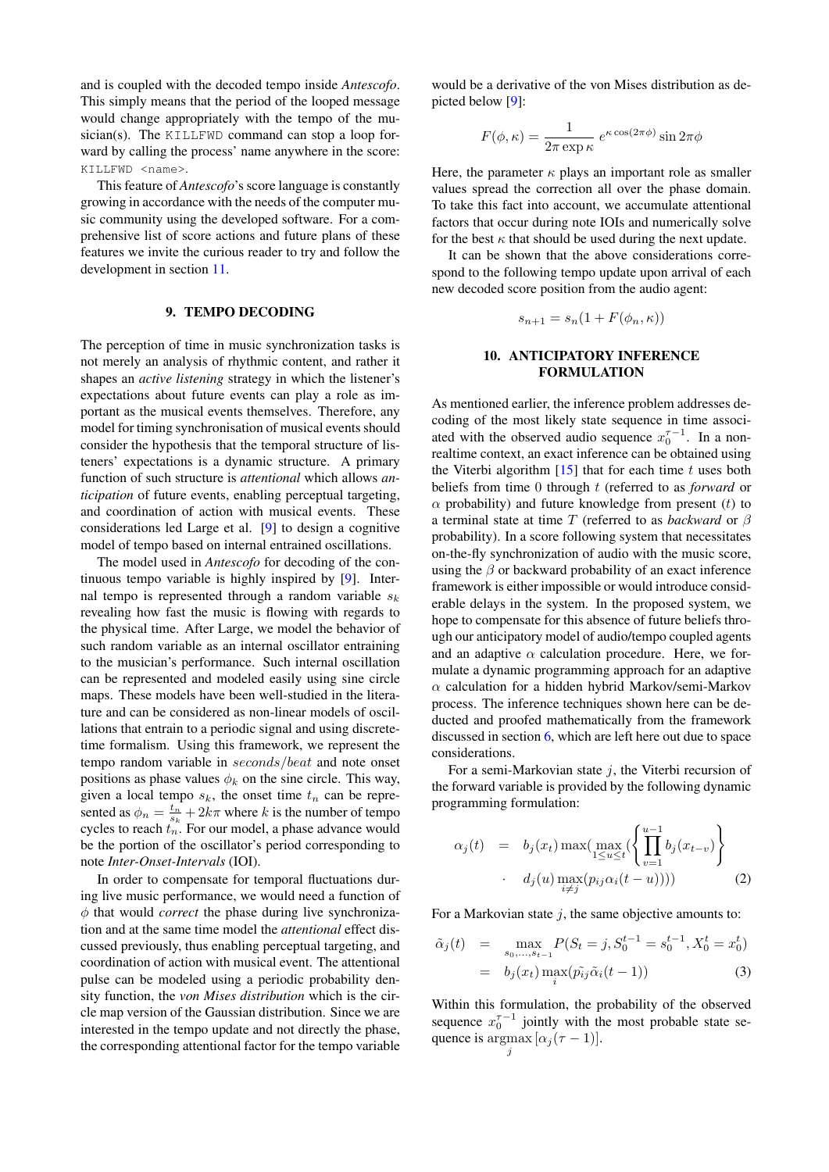and is coupled with the decoded tempo inside *Antescofo*. This simply means that the period of the looped message would change appropriately with the tempo of the musician(s). The KILLFWD command can stop a loop forward by calling the process' name anywhere in the score: KILLFWD <name>.

This feature of *Antescofo*'s score language is constantly growing in accordance with the needs of the computer music community using the developed software. For a comprehensive list of score actions and future plans of these features we invite the curious reader to try and follow the development in section [11.](#page-7-14)

## 9. TEMPO DECODING

<span id="page-6-2"></span>The perception of time in music synchronization tasks is not merely an analysis of rhythmic content, and rather it shapes an *active listening* strategy in which the listener's expectations about future events can play a role as important as the musical events themselves. Therefore, any model for timing synchronisation of musical events should consider the hypothesis that the temporal structure of listeners' expectations is a dynamic structure. A primary function of such structure is *attentional* which allows *anticipation* of future events, enabling perceptual targeting, and coordination of action with musical events. These considerations led Large et al. [\[9\]](#page-7-8) to design a cognitive model of tempo based on internal entrained oscillations.

The model used in *Antescofo* for decoding of the continuous tempo variable is highly inspired by [\[9\]](#page-7-8). Internal tempo is represented through a random variable  $s_k$ revealing how fast the music is flowing with regards to the physical time. After Large, we model the behavior of such random variable as an internal oscillator entraining to the musician's performance. Such internal oscillation can be represented and modeled easily using sine circle maps. These models have been well-studied in the literature and can be considered as non-linear models of oscillations that entrain to a periodic signal and using discretetime formalism. Using this framework, we represent the tempo random variable in seconds/beat and note onset positions as phase values  $\phi_k$  on the sine circle. This way, given a local tempo  $s_k$ , the onset time  $t_n$  can be represented as  $\phi_n = \frac{t_n}{s_k} + 2k\pi$  where k is the number of tempo cycles to reach  $t_n$ . For our model, a phase advance would be the portion of the oscillator's period corresponding to note *Inter-Onset-Intervals* (IOI).

In order to compensate for temporal fluctuations during live music performance, we would need a function of  $\phi$  that would *correct* the phase during live synchronization and at the same time model the *attentional* effect discussed previously, thus enabling perceptual targeting, and coordination of action with musical event. The attentional pulse can be modeled using a periodic probability density function, the *von Mises distribution* which is the circle map version of the Gaussian distribution. Since we are interested in the tempo update and not directly the phase, the corresponding attentional factor for the tempo variable would be a derivative of the von Mises distribution as depicted below [\[9\]](#page-7-8):

$$
F(\phi, \kappa) = \frac{1}{2\pi \exp \kappa} e^{\kappa \cos(2\pi \phi)} \sin 2\pi \phi
$$

Here, the parameter  $\kappa$  plays an important role as smaller values spread the correction all over the phase domain. To take this fact into account, we accumulate attentional factors that occur during note IOIs and numerically solve for the best  $\kappa$  that should be used during the next update.

It can be shown that the above considerations correspond to the following tempo update upon arrival of each new decoded score position from the audio agent:

$$
s_{n+1} = s_n(1 + F(\phi_n, \kappa))
$$

# 10. ANTICIPATORY INFERENCE FORMULATION

<span id="page-6-0"></span>As mentioned earlier, the inference problem addresses decoding of the most likely state sequence in time associated with the observed audio sequence  $x_0^{\tau-1}$ . In a nonrealtime context, an exact inference can be obtained using the Viterbi algorithm  $[15]$  that for each time t uses both beliefs from time 0 through t (referred to as *forward* or  $\alpha$  probability) and future knowledge from present (t) to a terminal state at time T (referred to as *backward* or β probability). In a score following system that necessitates on-the-fly synchronization of audio with the music score, using the  $\beta$  or backward probability of an exact inference framework is either impossible or would introduce considerable delays in the system. In the proposed system, we hope to compensate for this absence of future beliefs through our anticipatory model of audio/tempo coupled agents and an adaptive  $\alpha$  calculation procedure. Here, we formulate a dynamic programming approach for an adaptive  $\alpha$  calculation for a hidden hybrid Markov/semi-Markov process. The inference techniques shown here can be deducted and proofed mathematically from the framework discussed in section [6,](#page-2-3) which are left here out due to space considerations.

For a semi-Markovian state  $i$ , the Viterbi recursion of the forward variable is provided by the following dynamic programming formulation:

$$
\alpha_j(t) = b_j(x_t) \max\left(\max_{1 \le u \le t} \left\{ \prod_{v=1}^{u-1} b_j(x_{t-v}) \right\} - d_j(u) \max_{i \ne j} (p_{ij}\alpha_i(t-u)))\right)
$$
\n(2)

For a Markovian state  $j$ , the same objective amounts to:

<span id="page-6-1"></span>
$$
\tilde{\alpha}_j(t) = \max_{s_0, \dots, s_{t-1}} P(S_t = j, S_0^{t-1} = s_0^{t-1}, X_0^t = x_0^t) \n= b_j(x_t) \max_i (\tilde{p}_{ij} \tilde{\alpha}_i(t-1))
$$
\n(3)

Within this formulation, the probability of the observed sequence  $x_0^{\tau-1}$  jointly with the most probable state sequence is  $\arg\max[\alpha_j(\tau-1)].$ j